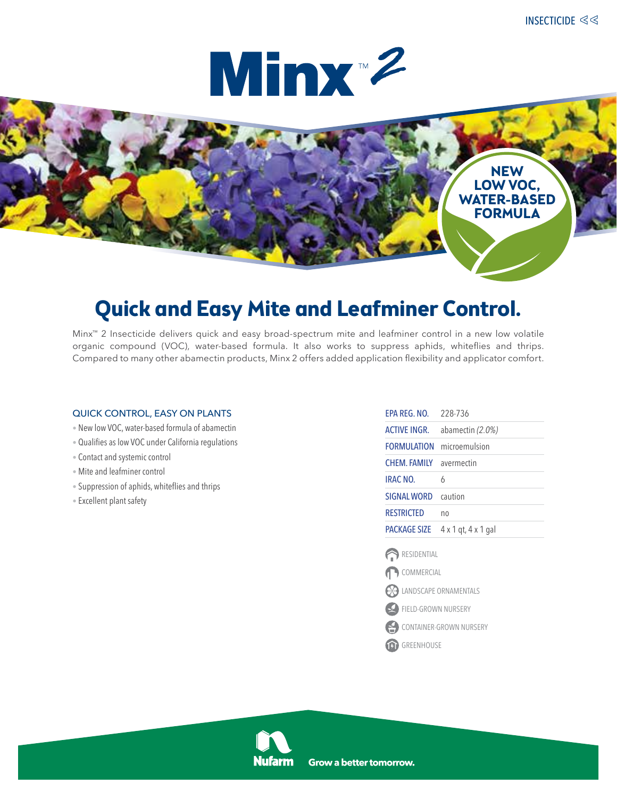**NEW LOW VOC, WATER-BASED FORMULA**



# **Quick and Easy Mite and Leafminer Control.**

Minx™ 2 Insecticide delivers quick and easy broad-spectrum mite and leafminer control in a new low volatile organic compound (VOC), water-based formula. It also works to suppress aphids, whiteflies and thrips. Compared to many other abamectin products, Minx 2 offers added application flexibility and applicator comfort.

# quick control, easy on plants

- New low VOC, water-based formula of abamectin
- Qualifies as low VOC under California regulations
- Contact and systemic control
- Mite and leafminer control
- Suppression of aphids, whiteflies and thrips
- Excellent plant safety

| <b>ACTIVE INGR.</b><br>abamectin (2.0%)<br><b>FORMULATION</b><br>microemulsion<br><b>CHEM. FAMILY</b><br>avermectin<br><b>IRAC NO.</b><br>6<br><b>SIGNAL WORD</b><br>caution<br><b>RESTRICTED</b><br>no<br><b>PACKAGE SIZE</b><br>4 x 1 qt, 4 x 1 gal<br>RESIDENTIAL<br>COMMERCIAL<br><b>CO LANDSCAPE ORNAMENTALS</b><br>FIELD-GROWN NURSERY<br>CONTAINER-GROWN NURSERY<br>H<br>GREENHOUSE<br>介 | FPA RFG. NO. | 228-736 |
|-------------------------------------------------------------------------------------------------------------------------------------------------------------------------------------------------------------------------------------------------------------------------------------------------------------------------------------------------------------------------------------------------|--------------|---------|
|                                                                                                                                                                                                                                                                                                                                                                                                 |              |         |
|                                                                                                                                                                                                                                                                                                                                                                                                 |              |         |
|                                                                                                                                                                                                                                                                                                                                                                                                 |              |         |
|                                                                                                                                                                                                                                                                                                                                                                                                 |              |         |
|                                                                                                                                                                                                                                                                                                                                                                                                 |              |         |
|                                                                                                                                                                                                                                                                                                                                                                                                 |              |         |
|                                                                                                                                                                                                                                                                                                                                                                                                 |              |         |
|                                                                                                                                                                                                                                                                                                                                                                                                 |              |         |
|                                                                                                                                                                                                                                                                                                                                                                                                 |              |         |
|                                                                                                                                                                                                                                                                                                                                                                                                 |              |         |
|                                                                                                                                                                                                                                                                                                                                                                                                 |              |         |
|                                                                                                                                                                                                                                                                                                                                                                                                 |              |         |
|                                                                                                                                                                                                                                                                                                                                                                                                 |              |         |